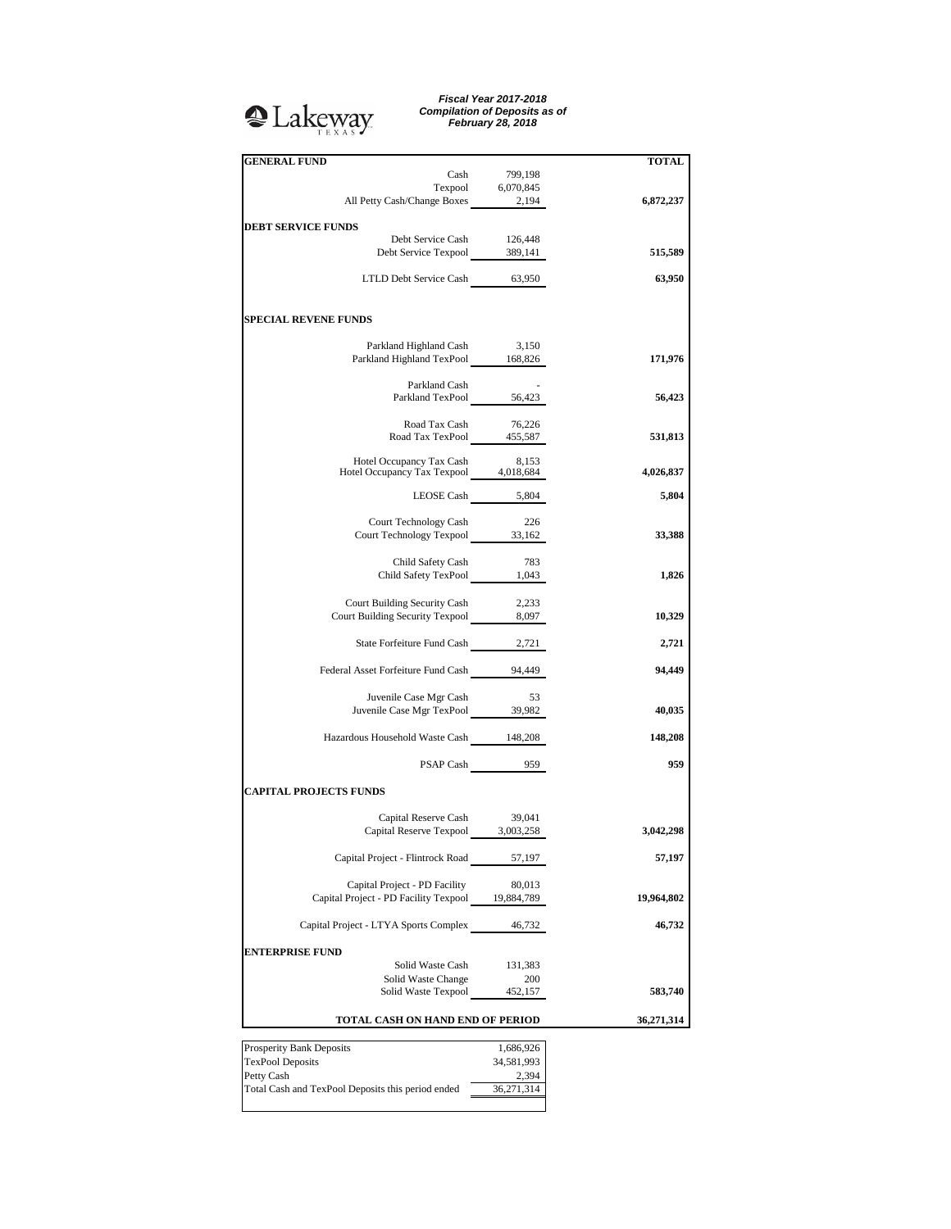## <sup>2</sup>Lakeway

*Fiscal Year 2017-2018 Compilation of Deposits as of February 28, 2018*

| <b>GENERAL FUND</b>                                                     |                     | <b>TOTAL</b> |
|-------------------------------------------------------------------------|---------------------|--------------|
| Cash                                                                    | 799,198             |              |
| Texpool 6,070,845<br>All Petty Cash/Change Boxes 2,194                  |                     |              |
|                                                                         |                     | 6,872,237    |
| <b>DEBT SERVICE FUNDS</b>                                               |                     |              |
| Debt Service Cash 126,448<br>Debt Service Texpool 389,141               |                     | 515,589      |
|                                                                         |                     |              |
| LTLD Debt Service Cash 63,950                                           |                     | 63,950       |
|                                                                         |                     |              |
| <b>SPECIAL REVENE FUNDS</b>                                             |                     |              |
|                                                                         | 3,150               |              |
| Parkland Highland Cash<br>Parkland Highland TexPool 168,826             |                     | 171,976      |
|                                                                         |                     |              |
| Parkland Cash<br>Parkland TexPool 56,423                                |                     | 56,423       |
|                                                                         |                     |              |
| Road Tax Cash 76,226<br>Road Tax TexPool 455,587                        |                     |              |
|                                                                         |                     | 531,813      |
| Hotel Occupancy Tax Cash 8,153<br>Hotel Occupancy Tax Texpool 4,018,684 |                     | 4,026,837    |
|                                                                         |                     |              |
|                                                                         | LEOSE Cash 5,804    | 5,804        |
| Court Technology Cash                                                   | - 226               |              |
| Court Technology Texpool 33,162                                         |                     | 33,388       |
| Child Safety Cash                                                       | 783                 |              |
| Child Safety TexPool 1,043                                              |                     | 1,826        |
|                                                                         |                     |              |
| Court Building Security Cash<br>Court Building Security Texpool 8,097   | 2,233               | 10,329       |
|                                                                         |                     |              |
| State Forfeiture Fund Cash 2,721                                        |                     | 2,721        |
| Federal Asset Forfeiture Fund Cash 94,449                               |                     | 94,449       |
|                                                                         |                     |              |
| Juvenile Case Mgr Cash                                                  | - 53                |              |
| Juvenile Case Mgr TexPool 39,982                                        |                     | 40,035       |
| Hazardous Household Waste Cash 148,208                                  |                     | 148,208      |
|                                                                         |                     |              |
|                                                                         | PSAP Cash 959       | 959          |
| <b>CAPITAL PROJECTS FUNDS</b>                                           |                     |              |
| Capital Reserve Cash 39,041                                             |                     |              |
| Capital Reserve Texpool 3,003,258                                       |                     | 3,042,298    |
|                                                                         |                     |              |
| Capital Project - Flintrock Road                                        | 57,197              | 57,197       |
| Capital Project - PD Facility                                           | 80,013              |              |
| Capital Project - PD Facility Texpool 19,884,789                        |                     | 19,964,802   |
| Capital Project - LTYA Sports Complex                                   | 46,732              | 46,732       |
|                                                                         |                     |              |
| <b>ENTERPRISE FUND</b>                                                  |                     |              |
| Solid Waste Cash<br>Solid Waste Change                                  | 131,383<br>200      |              |
| Solid Waste Texpool                                                     | 452,157             | 583,740      |
|                                                                         |                     |              |
| TOTAL CASH ON HAND END OF PERIOD                                        |                     | 36,271,314   |
| Prosperity Bank Deposits                                                | 1,686,926           |              |
| <b>TexPool Deposits</b>                                                 | 34,581,993          |              |
| Petty Cash<br>Total Cash and TexPool Deposits this period ended         | 2,394<br>36,271,314 |              |
|                                                                         |                     |              |